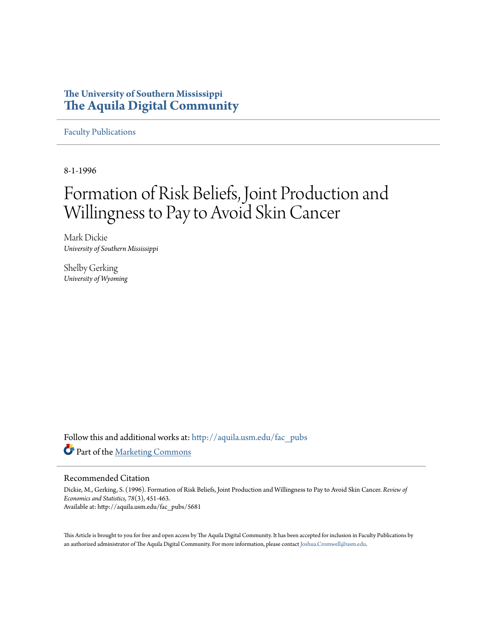## **The University of Southern Mississippi [The Aquila Digital Community](http://aquila.usm.edu?utm_source=aquila.usm.edu%2Ffac_pubs%2F5681&utm_medium=PDF&utm_campaign=PDFCoverPages)**

[Faculty Publications](http://aquila.usm.edu/fac_pubs?utm_source=aquila.usm.edu%2Ffac_pubs%2F5681&utm_medium=PDF&utm_campaign=PDFCoverPages)

8-1-1996

# Formation of Risk Beliefs, Joint Production and Willingness to Pay to Avoid Skin Cancer

Mark Dickie *University of Southern Mississippi*

Shelby Gerking *University of Wyoming*

Follow this and additional works at: [http://aquila.usm.edu/fac\\_pubs](http://aquila.usm.edu/fac_pubs?utm_source=aquila.usm.edu%2Ffac_pubs%2F5681&utm_medium=PDF&utm_campaign=PDFCoverPages) Part of the [Marketing Commons](http://network.bepress.com/hgg/discipline/638?utm_source=aquila.usm.edu%2Ffac_pubs%2F5681&utm_medium=PDF&utm_campaign=PDFCoverPages)

## Recommended Citation

Dickie, M., Gerking, S. (1996). Formation of Risk Beliefs, Joint Production and Willingness to Pay to Avoid Skin Cancer. *Review of Economics and Statistics, 78*(3), 451-463. Available at: http://aquila.usm.edu/fac\_pubs/5681

This Article is brought to you for free and open access by The Aquila Digital Community. It has been accepted for inclusion in Faculty Publications by an authorized administrator of The Aquila Digital Community. For more information, please contact [Joshua.Cromwell@usm.edu](mailto:Joshua.Cromwell@usm.edu).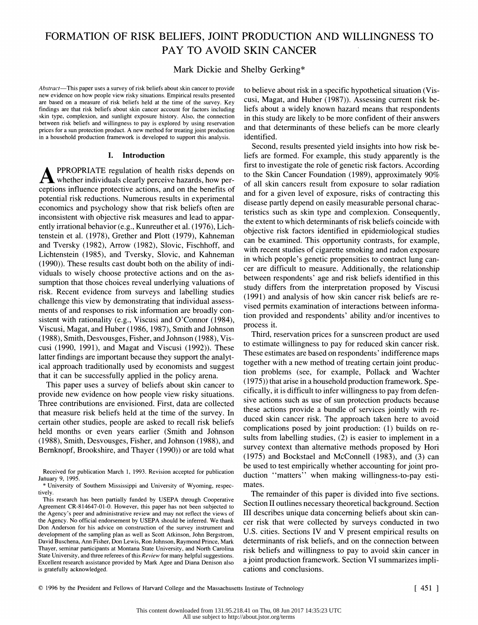# FORMATION OF RISK BELIEFS, JOINT PRODUCTION AND WILLINGNESS TO PAY TO AVOID SKIN CANCER

## Mark Dickie and Shelby Gerking\*

Abstract-This paper uses a survey of risk beliefs about skin cancer to provide new evidence on how people view risky situations. Empirical results presented are based on a measure of risk beliefs held at the time of the survey. Key findings are that risk beliefs about skin cancer account for factors including skin type, complexion, and sunlight exposure history. Also, the connection between risk beliefs and willingness to pay is explored by using reservation prices for a sun protection product. A new method for treating joint production in a household production framework is developed to support this analysis.

#### I. Introduction

PPROPRIATE regulation of health risks depends on whether individuals clearly perceive hazards, how per ceptions influence protective actions, and on the benefits of potential risk reductions. Numerous results in experimental economics and psychology show that risk beliefs often are inconsistent with objective risk measures and lead to appar ently irrational behavior (e.g., Kunreuther et al. (1976), Lich tenstein et al. (1978), Grether and Plott (1979), Kahneman and Tversky (1982), Arrow (1982), Slovic, Fischhoff, and Lichtenstein (1985), and Tversky, Slovic, and Kahneman (1990)). These results cast doubt both on the ability of indi viduals to wisely choose protective actions and on the as sumption that those choices reveal underlying valuations of risk. Recent evidence from surveys and labelling studies challenge this view by demonstrating that individual assess ments of and responses to risk information are broadly con sistent with rationality (e.g., Viscusi and O'Connor (1984), Viscusi, Magat, and Huber (1986, 1987), Smith and Johnson (1988), Smith, Desvousges, Fisher, and Johnson (1988), Vis cusi (1990, 1991), and Magat and Viscusi (1992)). These latter findings are important because they support the analyt ical approach traditionally used by economists and suggest that it can be successfully applied in the policy arena.

 This paper uses a survey of beliefs about skin cancer to provide new evidence on how people view risky situations. Three contributions are envisioned. First, data are collected that measure risk beliefs held at the time of the survey. In certain other studies, people are asked to recall risk beliefs held months or even years earlier (Smith and Johnson (1988), Smith, Desvousges, Fisher, and Johnson (1988), and Bemknopf, Brookshire, and Thayer (1990)) or are told what  to believe about risk in a specific hypothetical situation (Vis cusi, Magat, and Huber (1987)). Assessing current risk be liefs about a widely known hazard means that respondents in this study are likely to be more confident of their answers and that determinants of these beliefs can be more clearly identified.

 Second, results presented yield insights into how risk be liefs are formed. For example, this study apparently is the first to investigate the role of genetic risk factors. According to the Skin Cancer Foundation (1989), approximately 90% of all skin cancers result from exposure to solar radiation and for a given level of exposure, risks of contracting this disease partly depend on easily measurable personal charac teristics such as skin type and complexion. Consequently, the extent to which determinants of risk beliefs coincide with objective risk factors identified in epidemiological studies can be examined. This opportunity contrasts, for example, with recent studies of cigarette smoking and radon exposure in which people's genetic propensities to contract lung can cer are difficult to measure. Additionally, the relationship between respondents' age and risk beliefs identified in this study differs from the interpretation proposed by Viscusi (1991) and analysis of how skin cancer risk beliefs are re vised permits examination of interactions between informa tion provided and respondents' ability and/or incentives to process it.

 Third, reservation prices for a sunscreen product are used to estimate willingness to pay for reduced skin cancer risk. These estimates are based on respondents' indifference maps together with a new method of treating certain joint produc tion problems (see, for example, Pollack and Wachter (1975)) that arise in a household production framework. Spe cifically, it is difficult to infer willingness to pay from defen sive actions such as use of sun protection products because these actions provide a bundle of services jointly with re duced skin cancer risk. The approach taken here to avoid complications posed by joint production: (1) builds on re sults from labelling studies, (2) is easier to implement in a survey context than alternative methods proposed by Hori (1975) and Bockstael and McConnell (1983), and (3) can be used to test empirically whether accounting for joint pro duction "matters" when making willingness-to-pay esti mates.

 The remainder of this paper is divided into five sections. Section II outlines necessary theoretical background. Section III describes unique data concerning beliefs about skin can cer risk that were collected by surveys conducted in two U.S. cities. Sections IV and V present empirical results on determinants of risk beliefs, and on the connection between risk beliefs and willingness to pay to avoid skin cancer in a joint production framework. Section VI summarizes impli cations and conclusions.

Received for publication March 1, 1993. Revision accepted for publication January 9, 1995.

 <sup>\*</sup> University of Southern Mississippi and University of Wyoming, respec tively.

This research has been partially funded by USEPA through Cooperative Agreement CR-814647-01-0. However, this paper has not been subjected to the Agency's peer and administrative review and may not reflect the views of the Agency. No official endorsement by USEPA should be inferred. We thank Don Anderson for his advice on construction of the survey instrument and development of the sampling plan as well as Scott Atkinson, John Bergstrom, David Buschena, Ann Fisher, Don Lewis, Ron Johnson, Raymond Prince, Mark Thayer, seminar participants at Montana State University, and North Carolina State University, and three referees of this Review for many helpful suggestions. Excellent research assistance provided by Mark Agee and Diana Denison also is gratefully acknowledged.

 <sup>?) 1996</sup> by the President and Fellows of Harvard College and the Massachusetts Institute of Technology [ 451 ]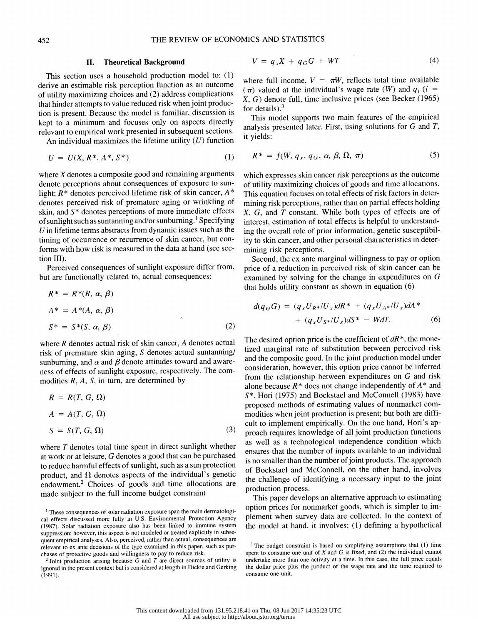#### II. Theoretical Background

 This section uses a household production model to: (1) derive an estimable risk perception function as an outcome of utility maximizing choices and (2) address complications that hinder attempts to value reduced risk when joint produc tion is present. Because the model is familiar, discussion is kept to a minimum and focuses only on aspects directly relevant to empirical work presented in subsequent sections.

An individual maximizes the lifetime utility  $(U)$  function

$$
U = U(X, R^*, A^*, S^*)
$$
 (1)

where  $X$  denotes a composite good and remaining arguments which expresses skin cancer risk perceptions as the outcome where  $X$  denotes a composite good and remaining arguments denote perceptions about consequences of exposure to sunlight;  $R^*$  denotes perceived lifetime risk of skin cancer,  $A^*$  denotes perceived risk of premature aging or wrinkling of skin, and  $S^*$  denotes perceptions of more immediate effects of sunlight such as suntanning and/or sunburning.<sup>1</sup> Specifying timing of occurrence or recurrence of skin cancer, but conforms with how risk is measured in the data at hand (see section III).

 Perceived consequences of sunlight exposure differ from, but are functionally related to, actual consequences:

$$
R^* = R^*(R, \alpha, \beta)
$$
  
\n
$$
A^* = A^*(A, \alpha, \beta)
$$
  
\n
$$
S^* = S^*(S, \alpha, \beta)
$$
\n(2)

where  *denotes actual risk of skin cancer,*  $*A*$  *denotes actual risk of premature skin aging,*  $*S*$  *denotes actual suntanning/* sunburning, and  $\alpha$  and  $\beta$  denote attitudes toward and aware-<br>ness of effects of sunlight exposure, respectively. The com-

$$
R = R(T, G, \Omega)
$$
  
\n
$$
A = A(T, G, \Omega)
$$
  
\n
$$
S = S(T, G, \Omega)
$$
\n(3)

where  $T$  denotes total time spent in direct sunlight whether at work or at leisure,  $G$  denotes a good that can be purchased to reduce harmful effects of sunlight, such as a sun protection product, and  $\Omega$  denotes aspects of the individual's genetic endowment.2 Choices of goods and time allocations are made subject to the full income budget constraint

$$
V = q_x X + q_G G + WT \tag{4}
$$

where full income,  $V = \pi W$ , reflects total time available  $(\pi)$  valued at the individual's wage rate (W) and  $q_i$  (i = X, G) denote full, time inclusive prices (see Becker (1965) for details). $3$ 

 This model supports two main features of the empirical analysis presented later. First, using solutions for G and T, it yields:

$$
R^* = f(W, q_x, q_G, \alpha, \beta, \Omega, \pi) \tag{5}
$$

denotes perceived risk of premature aging or wrinkling of mining risk perceptions, rather than on partial effects holding denotes perceived risk of premature aging or wrinkling of mining risk perceptions, rather than on pa  $\alpha$ ,  $\alpha$ ,  $\alpha$ , and  $\alpha$  denotes perceptions of more immediate effects  $\alpha$ ,  $\alpha$ , and  $\alpha$  constant. While bout types of effects are of original of sunburning.<sup>1</sup> Specifying interest, estimation of total effects is hel U in lifetime terms abstracts from dynamic issues such as the ing the overall role of prior information, genetic susceptibil timing of occurrence or recurrence of skin cancer, but con- ity to skin cancer, and other personal characteristics in deter of utility maximizing choices of goods and time allocations. This equation focuses on total effects of risk factors in deter- X, G, and T constant. While both types of effects are of mining risk perceptions.

> Second, the ex ante marginal willingness to pay or option price of a reduction in perceived risk of skin cancer can be examined by solving for the change in expenditures on G that holds utility constant as shown in equation (6)

$$
d(q_G G) = (q_x U_{R^*}/U_x) dR^* + (q_x U_{A^*}/U_x) dA^* + (q_x U_{S^*}/U_x) dS^* - WdT.
$$
 (6)

where R denotes actual risk of skin cancer, A denotes actual The desired option price is the coefficient of  $dR^*$ , the mone-<br>tized marginal rate of substitution between perceived risk sunburning, and  $\alpha$  and  $\beta$  denote attitudes toward and aware-<br>ness of effects of sunlight exposure, respectively. The com-<br>from the relationship between expenditures on  $G$  and risk ness of effects of sunlight exposure, respectively. The com-<br>
modities R, A, S, in turn, are determined by<br>
alone because  $R^*$  does not change independently of  $A^*$  and<br>
alone because  $R^*$  does not change independently where  $T$  denotes total time spent in direct sunlight whether<br>at work or at leisure,  $G$  denotes a good that can be purchased<br>is no smaller than the number of joint products. The approach tized marginal rate of substitution between perceived risk and the composite good. In the joint production model under alone because  $R^*$  does not change independently of  $A^*$  and S\*. Hori (1975) and Bockstael and McConnell (1983) have proposed methods of estimating values of nonmarket com modities when joint production is present; but both are diffi cult to implement empirically. On the one hand, Hori's ap proach requires knowledge of all joint production functions as well as a technological independence condition which is no smaller than the number of joint products. The approach of Bockstael and McConnell, on the other hand, involves the challenge of identifying a necessary input to the joint production process.

> This paper develops an alternative approach to estimating option prices for nonmarket goods, which is simpler to im plement when survey data are collected. In the context of the model at hand, it involves: (1) defining a hypothetical

<sup>&</sup>lt;sup>1</sup> These consequences of solar radiation exposure span the main dermatologi cal effects discussed more fully in U.S. Environmental Protection Agency (1987). Solar radiation exposure also has been linked to immune system suppression; however, this aspect is not modeled or treated explicitly in subse quent empirical analyses. Also, perceived, rather than actual, consequences are relevant to ex ante decisions of the type examined in this paper, such as pur chases of protective goods and willingness to pay to reduce risk.

 $2$  Joint production arising because G and T are direct sources of utility is ignored in the present context but is considered at length in Dickie and Gerking (1991).

 $3$  The budget constraint is based on simplifying assumptions that (1) time spent to consume one unit of  $X$  and  $G$  is fixed, and  $(2)$  the individual cannot undertake more than one activity at a time. In this case, the full price equals the dollar price plus the product of the wage rate and the time required to consume one unit.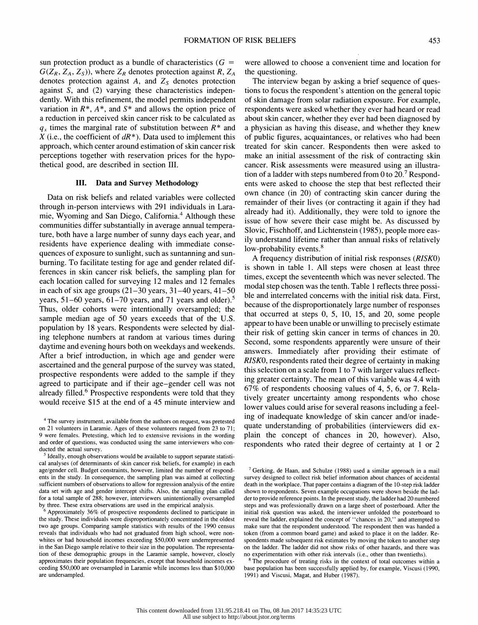sun protection product as a bundle of characteristics ( $G =$  $G(Z_R, Z_A, Z_S)$ , where  $Z_R$  denotes protection against R,  $Z_A$ denotes protection against  $A$ , and  $Z_s$  denotes protection against S, and (2) varying these characteristics indepen dently. With this refinement, the model permits independent variation in  $R^*$ ,  $A^*$ , and  $S^*$  and allows the option price of a reduction in perceived skin cancer risk to be calculated as  $q_x$  times the marginal rate of substitution between  $R^*$  and X (i.e., the coefficient of  $dR^*$ ). Data used to implement this approach, which center around estimation of skin cancer risk perceptions together with reservation prices for the hypo thetical good, are described in section III.

#### III. Data and Survey Methodology

 Data on risk beliefs and related variables were collected through in-person interviews with 291 individuals in Lara mie, Wyoming and San Diego, California.4 Although these communities differ substantially in average annual tempera ture, both have a large number of sunny days each year, and residents have experience dealing with immediate conse quences of exposure to sunlight, such as suntanning and sun burning. To facilitate testing for age and gender related dif ferences in skin cancer risk beliefs, the sampling plan for each location called for surveying 12 males and 12 females in each of six age groups  $(21-30 \text{ years}, 31-40 \text{ years}, 41-50$ years, 51-60 years, 61-70 years, and 71 years and older).<sup>5</sup> Thus, older cohorts were intentionally oversampled; the sample median age of 50 years exceeds that of the U.S. population by 18 years. Respondents were selected by dial ing telephone numbers at random at various times during daytime and evening hours both on weekdays and weekends. After a brief introduction, in which age and gender were ascertained and the general purpose of the survey was stated, prospective respondents were added to the sample if they agreed to participate and if their age-gender cell was not already filled.<sup>6</sup> Prospective respondents were told that they would receive \$15 at the end of a 45 minute interview and

 were allowed to choose a convenient time and location for the questioning.

 The interview began by asking a brief sequence of ques tions to focus the respondent's attention on the general topic of skin damage from solar radiation exposure. For example, respondents were asked whether they ever had heard or read about skin cancer, whether they ever had been diagnosed by a physician as having this disease, and whether they knew of public figures, acquaintances, or relatives who had been treated for skin cancer. Respondents then were asked to make an initial assessment of the risk of contracting skin cancer. Risk assessments were measured using an illustra tion of a ladder with steps numbered from 0 to  $20$ .<sup>7</sup> Respond ents were asked to choose the step that best reflected their own chance (in 20) of contracting skin cancer during the remainder of their lives (or contracting it again if they had already had it). Additionally, they were told to ignore the issue of how severe their case might be. As discussed by Slovic, Fischhoff, and Lichtenstein (1985), people more eas ily understand lifetime rather than annual risks of relatively low-probability events.<sup>8</sup>

 A frequency distribution of initial risk responses (RISKO) is shown in table 1. All steps were chosen at least three times, except the seventeenth which was never selected. The modal step chosen was the tenth. Table 1 reflects three possi ble and interrelated concerns with the initial risk data. First, because of the disproportionately large number of responses that occurred at steps 0, 5, 10, 15, and 20, some people appear to have been unable or unwilling to precisely estimate their risk of getting skin cancer in terms of chances in 20. Second, some respondents apparently were unsure of their answers. Immediately after providing their estimate of RISKO, respondents rated their degree of certainty in making this selection on a scale from 1 to 7 with larger values reflect ing greater certainty. The mean of this variable was 4.4 with 67% of respondents choosing values of 4, 5, 6, or 7. Rela tively greater uncertainty among respondents who chose lower values could arise for several reasons including a feel ing of inadequate knowledge of skin cancer and/or inade quate understanding of probabilities (interviewers did ex plain the concept of chances in 20, however). Also, respondents who rated their degree of certainty at 1 or 2

<sup>8</sup> The procedure of treating risks in the context of total outcomes within a base population has been successfully applied by, for example, Viscusi (1990, 1991) and Viscusi, Magat, and Huber (1987).

<sup>&</sup>lt;sup>4</sup> The survey instrument, available from the authors on request, was pretested on 21 volunteers in Laramie. Ages of these volunteers ranged from 23 to 71; 9 were females. Pretesting, which led to extensive revisions in the wording and order of questions, was conducted using the same interviewers who con ducted the actual survey.

<sup>&</sup>lt;sup>5</sup> Ideally, enough observations would be available to support separate statisti cal analyses (of determinants of skin cancer risk beliefs, for example) in each age/gender cell. Budget constraints, however, limited the number of respond ents in the study. In consequence, the sampling plan was aimed at collecting sufficient numbers of observations to allow for regression analysis of the entire data set with age and gender intercept shifts. Also, the sampling plan called for a total sample of 288; however, interviewers unintentionally oversampled by three. These extra observations are used in the empirical analysis.

<sup>&</sup>lt;sup>o</sup> Approximately 36% of prospective respondents declined to participate in inity the study. These individuals were disproportionately concentrated in the oldest two age groups. Comparing sample statistics with results of the 1990 census reveals that individuals who had not graduated from high school, were non whites or had household incomes exceeding \$50,000 were underrepresented in the San Diego sample relative to their size in the population. The representa tion of these demographic groups in the Laramie sample, however, closely approximates their population frequencies, except that household incomes ex ceeding \$50,000 are oversampled in Laramie while incomes less than \$10,000 are undersampled.

 $7$  Gerking, de Haan, and Schulze (1988) used a similar approach in a mail survey designed to collect risk belief information about chances of accidental death in the workplace. That paper contains a diagram of the 10-step risk ladder shown to respondents. Seven example occupations were shown beside the lad der to provide reference points. In the present study, the ladder had 20 numbered steps and was professionally drawn on a large sheet of posterboard. After the initial risk question was asked, the interviewer unfolded the posterboard to reveal the ladder, explained the concept of "chances in 20," and attempted to make sure that the respondent understood. The respondent then was handed a token (from a common board game) and asked to place it on the ladder. Re spondents made subsequent risk estimates by moving the token to another step on the ladder. The ladder did not show risks of other hazards, and there was no experimentation with other risk intervals (i.e., other than twentieths).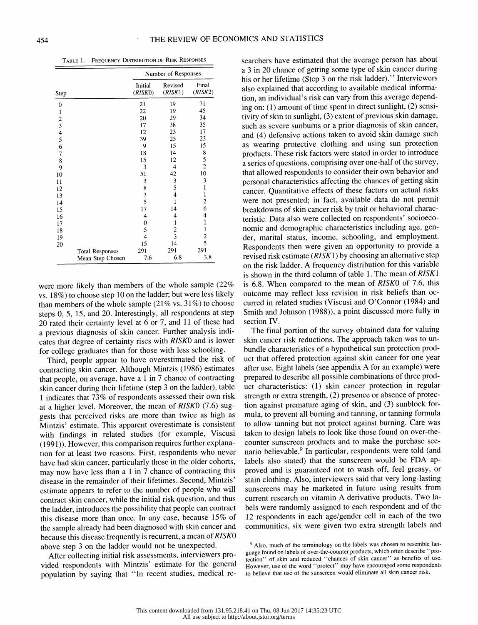TABLE 1.-FREQUENCY DISTRIBUTION OF RISK RESPONSES

|                                                 |                        | Number of Responses |                         |                         |  |
|-------------------------------------------------|------------------------|---------------------|-------------------------|-------------------------|--|
| Step                                            |                        | Initial<br>(RISKO)  | Revised<br>(RISK1)      | Final<br>(RISK2)        |  |
| 0                                               |                        | 21                  | 19                      | 71                      |  |
| $\mathbf{1}$                                    |                        | 22                  | 19                      | 45                      |  |
|                                                 |                        | 20                  | 29                      | 34                      |  |
|                                                 |                        | 17                  | 38                      | 35                      |  |
| $\begin{array}{c} 2 \\ 3 \\ 4 \\ 5 \end{array}$ |                        | 12                  | 23                      | 17                      |  |
|                                                 |                        | 39                  | 25                      | 23                      |  |
| 6                                               |                        | 9                   | 15                      | 15                      |  |
| 7                                               |                        | 18                  | 14                      | 8                       |  |
| 8                                               |                        | 15                  | 12                      | 5                       |  |
| 9                                               |                        | 3                   | 4                       | $\overline{c}$          |  |
| 10                                              |                        | 51                  | 42                      | 10                      |  |
| 11                                              |                        | 3                   | 3                       | 3                       |  |
| 12                                              |                        | 8                   | 5                       | $\mathbf{1}$            |  |
| 13                                              |                        | 3                   | $\overline{\mathbf{4}}$ | 1                       |  |
| 14                                              |                        | 5                   | 1                       | $\overline{\mathbf{c}}$ |  |
| 15                                              |                        | 17                  | 14                      | 6                       |  |
| 16                                              |                        | 4                   | 4                       | 4                       |  |
| 17                                              |                        | 0                   | 1                       | $\mathbf{1}$            |  |
| 18                                              |                        | 5                   | 2                       | $\mathbf{1}$            |  |
| 19                                              |                        | 4                   | 3                       | $\frac{2}{5}$           |  |
| 20                                              |                        | 15                  | 14                      |                         |  |
|                                                 | <b>Total Responses</b> | 291                 | 291                     | 291                     |  |
|                                                 | Mean Step Chosen       | 7.6                 | 6.8                     | 3.8                     |  |

 were more likely than members of the whole sample (22% vs. 18%) to choose step 10 on the ladder; but were less likely than members of the whole sample  $(21\% \text{ vs. } 31\%)$  to choose steps 0, 5, 15, and 20. Interestingly, all respondents at step 20 rated their certainty level at 6 or 7, and 11 of these had a previous diagnosis of skin cancer. Further analysis indi cates that degree of certainty rises with RISKO and is lower for college graduates than for those with less schooling.

 Third, people appear to have overestimated the risk of contracting skin cancer. Although Mintzis (1986) estimates that people, on average, have a 1 in 7 chance of contracting skin cancer during their lifetime (step 3 on the ladder), table 1 indicates that 73% of respondents assessed their own risk at a higher level. Moreover, the mean of RISKO (7.6) sug gests that perceived risks are more than twice as high as Mintzis' estimate. This apparent overestimate is consistent with findings in related studies (for example, Viscusi (1991)). However, this comparison requires further explana tion for at least two reasons. First, respondents who never have had skin cancer, particularly those in the older cohorts, may now have less than a 1 in 7 chance of contracting this disease in the remainder of their lifetimes. Second, Mintzis' estimate appears to refer to the number of people who will contract skin cancer, while the initial risk question, and thus the ladder, introduces the possibility that people can contract this disease more than once. In any case, because 15% of the sample already had been diagnosed with skin cancer and because this disease frequently is recurrent, a mean of RISKO above step 3 on the ladder would not be unexpected.

 After collecting initial risk assessments, interviewers pro vided respondents with Mintzis' estimate for the general population by saying that "In recent studies, medical re-

 searchers have estimated that the average person has about a 3 in 20 chance of getting some type of skin cancer during his or her lifetime (Step 3 on the risk ladder)." Interviewers also explained that according to available medical informa tion, an individual's risk can vary from this average depend ing on: (1) amount of time spent in direct sunlight, (2) sensi tivity of skin to sunlight, (3) extent of previous skin damage, such as severe sunbums or a prior diagnosis of skin cancer, and (4) defensive actions taken to avoid skin damage such as wearing protective clothing and using sun protection products. These risk factors were stated in order to introduce a series of questions, comprising over one-half of the survey, that allowed respondents to consider their own behavior and personal characteristics affecting the chances of getting skin cancer. Quantitative effects of these factors on actual risks were not presented; in fact, available data do not permit breakdowns of skin cancer risk by trait or behavioral charac teristic. Data also were collected on respondents' socioeco nomic and demographic characteristics including age, gen der, marital status, income, schooling, and employment. Respondents then were given an opportunity to provide a revised risk estimate (RISK1) by choosing an alternative step on the risk ladder. A frequency distribution for this variable is shown in the third column of table 1. The mean of RISK1 is 6.8. When compared to the mean of RISKO of 7.6, this outcome may reflect less revision in risk beliefs than oc curred in related studies (Viscusi and O'Connor (1984) and Smith and Johnson (1988)), a point discussed more fully in section IV.

 The final portion of the survey obtained data for valuing skin cancer risk reductions. The approach taken was to un bundle characteristics of a hypothetical sun protection prod uct that offered protection against skin cancer for one year after use. Eight labels (see appendix A for an example) were prepared to describe all possible combinations of three prod uct characteristics: (1) skin cancer protection in regular strength or extra strength, (2) presence or absence of protec tion against premature aging of skin, and (3) sunblock for mula, to prevent all burning and tanning, or tanning formula to allow tanning but not protect against burning. Care was taken to design labels to look like those found on over-the counter sunscreen products and to make the purchase sce nario believable.<sup>9</sup> In particular, respondents were told (and labels also stated) that the sunscreen would be FDA ap proved and is guaranteed not to wash off, feel greasy, or stain clothing. Also, interviewers said that very long-lasting sunscreens may be marketed in future using results from current research on vitamin A derivative products. Two la bels were randomly assigned to each respondent and of the 12 respondents in each age/gender cell in each of the two communities, six were given two extra strength labels and

<sup>&</sup>lt;sup>9</sup> Also, much of the terminology on the labels was chosen to resemble lan guage found on labels of over-the-counter products, which often describe "pro tection" of skin and reduced "chances of skin cancer" as benefits of use. However, use of the word "protect" may have encouraged some respondents to believe that use of the sunscreen would eliminate all skin cancer risk.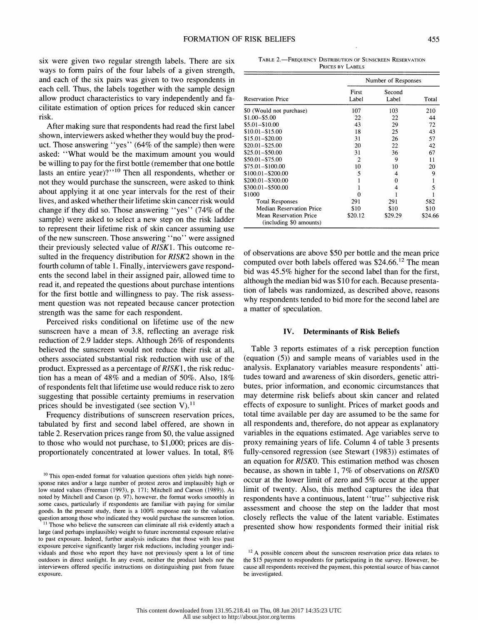six were given two regular strength labels. There are six ways to form pairs of the four labels of a given strength, and each of the six pairs was given to two respondents in each cell. Thus, the labels together with the sample design allow product characteristics to vary independently and fa cilitate estimation of option prices for reduced skin cancer risk.

 After making sure that respondents had read the first label shown, interviewers asked whether they would buy the prod uct. Those answering "yes" (64% of the sample) then were asked: "What would be the maximum amount you would be willing to pay for the first bottle (remember that one bottle lasts an entire year)?"<sup>10</sup> Then all respondents, whether or not they would purchase the sunscreen, were asked to think about applying it at one year intervals for the rest of their lives, and asked whether their lifetime skin cancer risk would change if they did so. Those answering "yes" (74% of the sample) were asked to select a new step on the risk ladder to represent their lifetime risk of skin cancer assuming use of the new sunscreen. Those answering "no" were assigned their previously selected value of RISK1. This outcome re sulted in the frequency distribution for RISK2 shown in the fourth column of table 1. Finally, interviewers gave respond ents the second label in their assigned pair, allowed time to read it, and repeated the questions about purchase intentions for the first bottle and willingness to pay. The risk assess ment question was not repeated because cancer protection strength was the same for each respondent.

 Perceived risks conditional on lifetime use of the new sunscreen have a mean of 3.8, reflecting an average risk reduction of 2.9 ladder steps. Although 26% of respondents believed the sunscreen would not reduce their risk at all, others associated substantial risk reduction with use of the product. Expressed as a percentage of RISK1, the risk reduc tion has a mean of 48% and a median of 50%. Also, 18% of respondents felt that lifetime use would reduce risk to zero suggesting that possible certainty premiums in reservation prices should be investigated (see section V). $^{11}$ 

 Frequency distributions of sunscreen reservation prices, tabulated by first and second label offered, are shown in table 2. Reservation prices range from \$0, the value assigned to those who would not purchase, to \$1,000; prices are dis proportionately concentrated at lower values. In total, 8%

<sup>10</sup> This open-ended format for valuation questions often yields high nonre sponse rates and/or a large number of protest zeros and implausibly high or low stated values (Freeman (1993), p. 171; Mitchell and Carson (1989)). As noted by Mitchell and Carson (p. 97), however, the format works smoothly in some cases, particularly if respondents are familiar with paying for similar goods. In the present study, there is a 100% response rate to the valuation question among those who indicated they would purchase the sunscreen lotion.

<sup>11</sup> Those who believe the sunscreen can eliminate all risk evidently attach a large (and perhaps implausible) weight to future incremental exposure relative to past exposure. Indeed, further analysis indicates that those with less past exposure perceive significantly larger risk reductions, including younger indi viduals and those who report they have not previously spent a lot of time outdoors in direct sunlight. In any event, neither the product labels nor the interviewers offered specific instructions on distinguishing past from future exposure.

TABLE 2.-FREQUENCY DISTRIBUTION OF SUNSCREEN RESERVATION PRICES BY LABELS

|                                                          |                | Number of Responses |         |
|----------------------------------------------------------|----------------|---------------------|---------|
| <b>Reservation Price</b>                                 | First<br>Label | Second<br>Label     | Total   |
| \$0 (Would not purchase)                                 | 107            | 103                 | 210     |
| $$1.00 - $5.00$                                          | 22             | 22                  | 44      |
| $$5.01 - $10.00$                                         | 43             | 29                  | 72      |
| $$10.01 - $15.00$                                        | 18             | 25                  | 43      |
| $$15.01 - $20.00$                                        | 31             | 26                  | 57      |
| $$20.01 - $25.00$                                        | 20             | 22                  | 42      |
| $$25.01 - $50.00$                                        | 31             | 36                  | 67      |
| $$50.01 - $75.00$                                        | 2              | 9                   | 11      |
| \$75.01-\$100.00                                         | 10             | 10                  | 20      |
| \$100.01-\$200.00                                        | 5              | 4                   | 9       |
| \$200.01-\$300.00                                        |                | 0                   |         |
| \$300.01-\$500.00                                        |                | 4                   | 5       |
| \$1000                                                   |                |                     |         |
| <b>Total Responses</b>                                   | 291            | 291                 | 582     |
| <b>Median Reservation Price</b>                          | \$10           | \$10                | \$10    |
| <b>Mean Reservation Price</b><br>(including \$0 amounts) | \$20.12        | \$29.29             | \$24.66 |

 of observations are above \$50 per bottle and the mean price computed over both labels offered was  $$24.66$ <sup>12</sup> The mean bid was 45.5% higher for the second label than for the first, although the median bid was \$10 for each. Because presenta tion of labels was randomized, as described above, reasons why respondents tended to bid more for the second label are a matter of speculation.

#### IV. Determinants of Risk Beliefs

 Table 3 reports estimates of a risk perception function (equation (5)) and sample means of variables used in the analysis. Explanatory variables measure respondents' atti tudes toward and awareness of skin disorders, genetic attri butes, prior information, and economic circumstances that may determine risk beliefs about skin cancer and related effects of exposure to sunlight. Prices of market goods and total time available per day are assumed to be the same for all respondents and, therefore, do not appear as explanatory variables in the equations estimated. Age variables serve to proxy remaining years of life. Column 4 of table 3 presents fully-censored regression (see Stewart (1983)) estimates of an equation for RISKO. This estimation method was chosen because, as shown in table 1, 7% of observations on RISKO occur at the lower limit of zero and 5% occur at the upper limit of twenty. Also, this method captures the idea that respondents have a continuous, latent "true" subjective risk assessment and choose the step on the ladder that most closely reflects the value of the latent variable. Estimates presented show how respondents formed their initial risk

 $12$  A possible concern about the sunscreen reservation price data relates to the \$15 payment to respondents for participating in the survey. However, be cause all respondents received the payment, this potential source of bias cannot be investigated.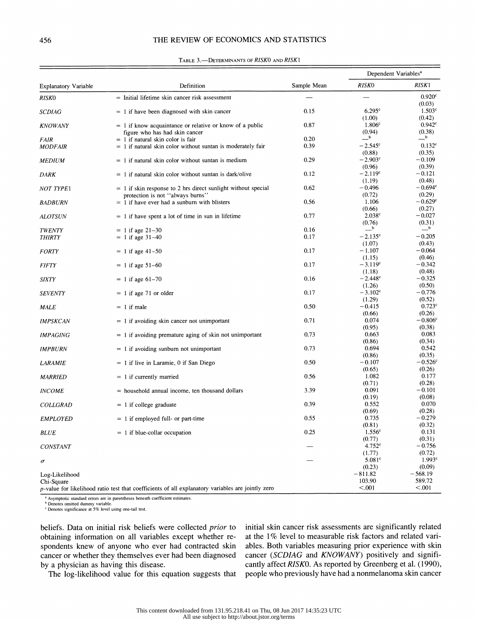#### 456 THE REVIEW OF ECONOMICS AND STATISTICS

|                             |                                                                                                           |              | Dependent Variables <sup>a</sup> |                            |
|-----------------------------|-----------------------------------------------------------------------------------------------------------|--------------|----------------------------------|----------------------------|
| <b>Explanatory Variable</b> | Definition                                                                                                | Sample Mean  | <b>RISKO</b>                     | RISK1                      |
| <b>RISKO</b>                | = Initial lifetime skin cancer risk assessment                                                            |              |                                  | 0.920c                     |
| <b>SCDIAG</b>               | $= 1$ if have been diagnosed with skin cancer                                                             | 0.15         | 6.295c                           | (0.03)<br>$1.503^{\circ}$  |
|                             |                                                                                                           |              | (1.00)                           | (0.42)                     |
| <b>KNOWANY</b>              | $= 1$ if know acquaintance or relative or know of a public                                                | 0.87         | 1.806 <sup>c</sup>               | 0.942 <sup>c</sup>         |
|                             | figure who has had skin cancer                                                                            |              | (0.94)<br>$-b$                   | (0.38)<br>$_{\rm b}$       |
| <b>FAIR</b>                 | $= 1$ if natural skin color is fair<br>$= 1$ if natural skin color without suntan is moderately fair      | 0.20<br>0.39 | $-2.545^{\circ}$                 | 0.132 <sup>c</sup>         |
| <b>MODFAIR</b>              |                                                                                                           |              | (0.88)                           | (0.35)                     |
| <b>MEDIUM</b>               | $= 1$ if natural skin color without suntan is medium                                                      | 0.29         | $-2.903^{\circ}$                 | $-0.109$                   |
|                             |                                                                                                           |              | (0.96)                           | (0.39)                     |
| <b>DARK</b>                 | $= 1$ if natural skin color without suntan is dark/olive                                                  | 0.12         | $-2.119^{\circ}$                 | $-0.121$                   |
|                             |                                                                                                           |              | (1.19)                           | (0.48)<br>$-0.694^{\circ}$ |
| NOT TYPE1                   | $= 1$ if skin response to 2 hrs direct sunlight without special<br>protection is not "always burns"       | 0.62         | $-0.496$<br>(0.72)               | (0.29)                     |
| <b>BADBURN</b>              | $= 1$ if have ever had a sunburn with blisters                                                            | 0.56         | 1.106                            | $-0.629^{\circ}$           |
|                             |                                                                                                           |              | (0.66)                           | (0.27)                     |
| <b>ALOTSUN</b>              | $= 1$ if have spent a lot of time in sun in lifetime                                                      | 0.77         | 2.038 <sup>c</sup>               | $-0.027$                   |
|                             |                                                                                                           |              | (0.76)<br>$\frac{1}{2}$          | (0.31)<br>$-^{\rm b}$      |
| <b>TWENTY</b>               | $= 1$ if age 21-30                                                                                        | 0.16<br>0.17 | $-2.135^{\circ}$                 | $-0.205$                   |
| <b>THIRTY</b>               | $= 1$ if age 31-40                                                                                        |              | (1.07)                           | (0.43)                     |
| <b>FORTY</b>                | $= 1$ if age 41-50                                                                                        | 0.17         | $-1.107$                         | $-0.064$                   |
|                             |                                                                                                           |              | (1.15)                           | (0.46)                     |
| <b>FIFTY</b>                | $= 1$ if age 51–60                                                                                        | 0.17         | $-3.119^{\circ}$                 | $-0.342$                   |
|                             |                                                                                                           |              | (1.18)                           | (0.48)                     |
| <b>SIXTY</b>                | $= 1$ if age 61-70                                                                                        | 0.16         | $-2.448^{\circ}$<br>(1.26)       | $-0.325$<br>(0.50)         |
| <b>SEVENTY</b>              | $= 1$ if age 71 or older                                                                                  | 0.17         | $-3.102^{\circ}$                 | $-0.776$                   |
|                             |                                                                                                           |              | (1.29)                           | (0.52)                     |
| MALE                        | $= 1$ if male                                                                                             | 0.50         | $-0.415$                         | 0.723c                     |
|                             |                                                                                                           |              | (0.66)                           | (0.26)                     |
| <b>IMPSKCAN</b>             | $= 1$ if avoiding skin cancer not unimportant                                                             | 0.71         | 0.074<br>(0.95)                  | $-0.806c$<br>(0.38)        |
| <i><b>IMPAGING</b></i>      | $= 1$ if avoiding premature aging of skin not unimportant                                                 | 0.73         | 0.663                            | 0.083                      |
|                             |                                                                                                           |              | (0.86)                           | (0.34)                     |
| <b>IMPBURN</b>              | $= 1$ if avoiding sunburn not unimportant                                                                 | 0.73         | 0.694                            | 0.542                      |
|                             |                                                                                                           |              | (0.86)                           | (0.35)                     |
| <b>LARAMIE</b>              | $= 1$ if live in Laramie, 0 if San Diego                                                                  | 0.50         | $-0.107$                         | $-0.526c$                  |
| <b>MARRIED</b>              | $= 1$ if currently married                                                                                | 0.56         | (0.65)<br>1.082                  | (0.26)<br>0.177            |
|                             |                                                                                                           |              | (0.71)                           | (0.28)                     |
| <b>INCOME</b>               | = household annual income, ten thousand dollars                                                           | 3.39         | 0.091                            | $-0.101$                   |
|                             |                                                                                                           |              | (0.19)                           | (0.08)                     |
| <b>COLLGRAD</b>             | $= 1$ if college graduate                                                                                 | 0.39         | 0.552                            | 0.070                      |
| <b>EMPLOYED</b>             | = 1 if employed full- or part-time                                                                        | 0.55         | (0.69)<br>0.735                  | (0.28)<br>$-0.279$         |
|                             |                                                                                                           |              | (0.81)                           | (0.32)                     |
| <b>BLUE</b>                 | $= 1$ if blue-collar occupation                                                                           | 0.25         | 1.556 <sup>c</sup>               | 0.131                      |
|                             |                                                                                                           |              | (0.77)                           | (0.31)                     |
| CONSTANT                    |                                                                                                           |              | 4.752 <sup>c</sup>               | $-0.756$                   |
|                             |                                                                                                           |              | (1.77)<br>$5.081$ <sup>c</sup>   | (0.72)<br>1.993c           |
| $\sigma$                    |                                                                                                           |              | (0.23)                           | (0.09)                     |
| Log-Likelihood              |                                                                                                           |              | $-811.82$                        | $-568.19$                  |
| Chi-Square                  |                                                                                                           |              | 103.90                           | 589.72                     |
|                             | <i>p</i> -value for likelihood ratio test that coefficients of all explanatory variables are jointly zero |              | < 0.001                          | < .001                     |

#### TABLE 3.-DETERMINANTS OF RISKO AND RISK1

<sup>a</sup> Asymptotic standard errors are in parentheses beneath coefficient estimates.

<sup>o</sup> Denotes omitted dummy variable.<br><sup>c</sup> Denotes significance at 5% level using one-tail test.

beliefs. Data on initial risk beliefs were collected prior to obtaining information on all variables except whether re spondents knew of anyone who ever had contracted skin cancer or whether they themselves ever had been diagnosed by a physician as having this disease.

The log-likelihood value for this equation suggests that

 initial skin cancer risk assessments are significantly related at the 1% level to measurable risk factors and related vari ables. Both variables measuring prior experience with skin cancer (SCDIAG and KNOWANY) positively and signifi cantly affect RISKO. As reported by Greenberg et al. (1990), people who previously have had a nonmelanoma skin cancer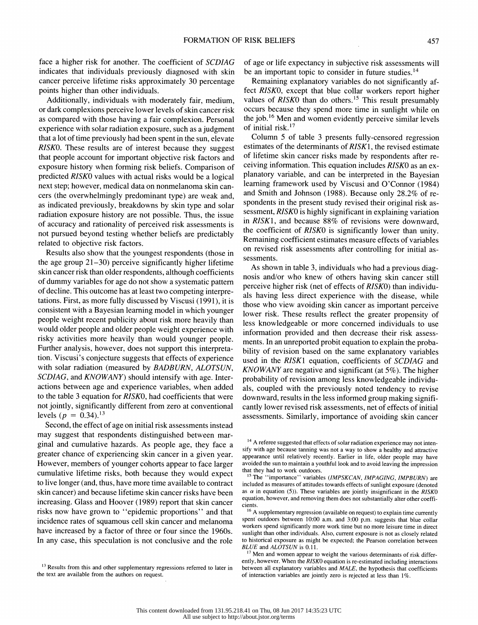face a higher risk for another. The coefficient of SCDIAG indicates that individuals previously diagnosed with skin cancer perceive lifetime risks approximately 30 percentage points higher than other individuals.

 Additionally, individuals with moderately fair, medium, or dark complexions perceive lower levels of skin cancer risk as compared with those having a fair complexion. Personal experience with solar radiation exposure, such as a judgment that a lot of time previously had been spent in the sun, elevate RISKO. These results are of interest because they suggest that people account for important objective risk factors and exposure history when forming risk beliefs. Comparison of predicted RISKO values with actual risks would be a logical next step; however, medical data on nonmelanoma skin can cers (the overwhelmingly predominant type) are weak and, as indicated previously, breakdowns by skin type and solar radiation exposure history are not possible. Thus, the issue of accuracy and rationality of perceived risk assessments is not pursued beyond testing whether beliefs are predictably related to objective risk factors.

 Results also show that the youngest respondents (those in the age group 21-30) perceive significantly higher lifetime skin cancer risk than older respondents, although coefficients of dummy variables for age do not show a systematic pattern of decline. This outcome has at least two competing interpre tations. First, as more fully discussed by Viscusi (1991), it is consistent with a Bayesian learning model in which younger people weight recent publicity about risk more heavily than would older people and older people weight experience with risky activities more heavily than would younger people. Further analysis, however, does not support this interpreta tion. Viscusi's conjecture suggests that effects of experience with solar radiation (measured by BADBURN, ALOTSUN, SCDIAG, and KNOWANY) should intensify with age. Inter actions between age and experience variables, when added to the table 3 equation for RISKO, had coefficients that were not jointly, significantly different from zero at conventional levels ( $p = 0.34$ ).<sup>13</sup>

 Second, the effect of age on initial risk assessments instead may suggest that respondents distinguished between mar ginal and cumulative hazards. As people age, they face a greater chance of experiencing skin cancer in a given year. However, members of younger cohorts appear to face larger cumulative lifetime risks, both because they would expect to live longer (and, thus, have more time available to contract skin cancer) and because lifetime skin cancer risks have been increasing. Glass and Hoover (1989) report that skin cancer risks now have grown to "epidemic proportions" and that incidence rates of squamous cell skin cancer and melanoma have increased by a factor of three or four since the 1960s. In any case, this speculation is not conclusive and the role

 of age or life expectancy in subjective risk assessments will be an important topic to consider in future studies.<sup>14</sup>

 Remaining explanatory variables do not significantly af fect RISKO, except that blue collar workers report higher values of RISKO than do others.<sup>15</sup> This result presumably occurs because they spend more time in sunlight while on the job.<sup>16</sup> Men and women evidently perceive similar levels of initial risk.17

 Column 5 of table 3 presents fully-censored regression estimates of the determinants of RISK1, the revised estimate of lifetime skin cancer risks made by respondents after re ceiving information. This equation includes RISKO as an ex planatory variable, and can be interpreted in the Bayesian learning framework used by Viscusi and O'Connor (1984) and Smith and Johnson (1988). Because only 28.2% of re spondents in the present study revised their original risk as sessment, RISKO is highly significant in explaining variation in RISK1, and because 88% of revisions were downward, the coefficient of RISKO is significantly lower than unity. Remaining coefficient estimates measure effects of variables on revised risk assessments after controlling for initial as sessments.

 As shown in table 3, individuals who had a previous diag nosis and/or who knew of others having skin cancer still perceive higher risk (net of effects of RISKO) than individu als having less direct experience with the disease, while those who view avoiding skin cancer as important perceive lower risk. These results reflect the greater propensity of less knowledgeable or more concerned individuals to use information provided and then decrease their risk assess ments. In an unreported probit equation to explain the proba bility of revision based on the same explanatory variables used in the RISK1 equation, coefficients of SCDIAG and KNOWANY are negative and significant (at 5%). The higher probability of revision among less knowledgeable individu als, coupled with the previously noted tendency to revise downward, results in the less informed group making signifi cantly lower revised risk assessments, net of effects of initial assessments. Similarly, importance of avoiding skin cancer

<sup>&</sup>lt;sup>13</sup> Results from this and other supplementary regressions referred to later in the text are available from the authors on request.

<sup>&</sup>lt;sup>14</sup> A referee suggested that effects of solar radiation experience may not inten sify with age because tanning was not a way to show a healthy and attractive appearance until relatively recently. Earlier in life, older people may have avoided the sun to maintain a youthful look and to avoid leaving the impression that they had to work outdoors.

<sup>&</sup>lt;sup>15</sup> The "importance" variables (IMPSKCAN, IMPAGING, IMPBURN) are included as measures of attitudes towards effects of sunlight exposure (denoted as  $\alpha$  in equation (5)). These variables are jointly insignificant in the RISKO equation, however, and removing them does not substantially alter other coeffi cients.

 $\sim$  A supplementary regression (available on request) to explain time currently spent outdoors between 10:00 a.m. and 3:00 p.m. suggests that blue collar workers spend significantly more work time but no more leisure time in direct sunlight than other individuals. Also, current exposure is not as closely related to historical exposure as might be expected; the Pearson correlation between BLUE and ALOTSUN is 0.11.

<sup>&</sup>lt;sup>17</sup> Men and women appear to weight the various determinants of risk differ ently, however. When the RISKO equation is re-estimated including interactions between all explanatory variables and MALE, the hypothesis that coefficients of interaction variables are jointly zero is rejected at less than 1%.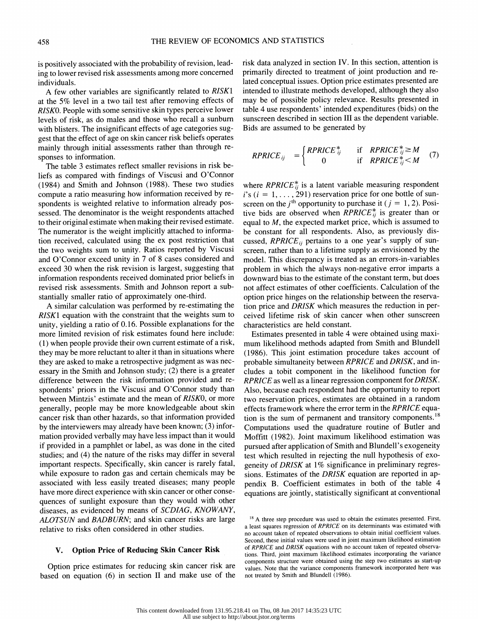is positively associated with the probability of revision, lead ing to lower revised risk assessments among more concerned individuals.

 A few other variables are significantly related to RISK1 at the 5% level in a two tail test after removing effects of RISKO. People with some sensitive skin types perceive lower levels of risk, as do males and those who recall a sunburn with blisters. The insignificant effects of age categories sug gest that the effect of age on skin cancer risk beliefs operates mainly through initial assessments rather than through re sponses to information.

 The table 3 estimates reflect smaller revisions in risk be liefs as compared with findings of Viscusi and O'Connor (1984) and Smith and Johnson (1988). These two studies compute a ratio measuring how information received by re spondents is weighted relative to information already pos sessed. The denominator is the weight respondents attached to their original estimate when making their revised estimate. The numerator is the weight implicitly attached to informa tion received, calculated using the ex post restriction that the two weights sum to unity. Ratios reported by Viscusi and O'Connor exceed unity in 7 of 8 cases considered and exceed 30 when the risk revision is largest, suggesting that information respondents received dominated prior beliefs in revised risk assessments. Smith and Johnson report a sub stantially smaller ratio of approximately one-third.

 A similar calculation was performed by re-estimating the RISK1 equation with the constraint that the weights sum to unity, yielding a ratio of 0.16. Possible explanations for the more limited revision of risk estimates found here include: (1) when people provide their own current estimate of a risk, they may be more reluctant to alter it than in situations where they are asked to make a retrospective judgment as was nec essary in the Smith and Johnson study; (2) there is a greater difference between the risk information provided and re spondents' priors in the Viscusi and O'Connor study than between Mintzis' estimate and the mean of RISKO, or more generally, people may be more knowledgeable about skin cancer risk than other hazards, so that information provided by the interviewers may already have been known; (3) infor mation provided verbally may have less impact than it would if provided in a pamphlet or label, as was done in the cited studies; and (4) the nature of the risks may differ in several important respects. Specifically, skin cancer is rarely fatal, while exposure to radon gas and certain chemicals may be associated with less easily treated diseases; many people have more direct experience with skin cancer or other conse quences of sunlight exposure than they would with other diseases, as evidenced by means of SCDIAG, KNOWANY, ALOTSUN and BADBURN; and skin cancer risks are large relative to risks often considered in other studies.

#### V. Option Price of Reducing Skin Cancer Risk

 Option price estimates for reducing skin cancer risk are based on equation (6) in section II and make use of the  risk data analyzed in section IV. In this section, attention is primarily directed to treatment of joint production and re lated conceptual issues. Option price estimates presented are intended to illustrate methods developed, although they also may be of possible policy relevance. Results presented in table 4 use respondents' intended expenditures (bids) on the sunscreen described in section III as the dependent variable. Bids are assumed to be generated by

$$
RPRICE_{ij} = \begin{cases} RPRICE_{ij}^{*} & \text{if} \quad RPRICE_{ij}^{*} \geq M \\ 0 & \text{if} \quad RPRICE_{ij}^{*} < M \end{cases} \quad (7)
$$

where  $RPRICE_{ij}^{*}$  is a latent variable measuring respondent  $i's$  ( $i = 1, \ldots, 291$ ) reservation price for one bottle of sunscreen on the  $i^{\text{th}}$  opportunity to purchase it ( $j = 1, 2$ ). Positive bids are observed when  $RPRICE_{ij}^*$  is greater than or equal to  $M$ , the expected market price, which is assumed to be constant for all respondents. Also, as previously dis cussed,  $RPRICE_{ij}$  pertains to a one year's supply of sun screen, rather than to a lifetime supply as envisioned by the model. This discrepancy is treated as an errors-in-variables problem in which the always non-negative error imparts a downward bias to the estimate of the constant term, but does not affect estimates of other coefficients. Calculation of the option price hinges on the relationship between the reserva tion price and DRISK which measures the reduction in per ceived lifetime risk of skin cancer when other sunscreen characteristics are held constant.

 Estimates presented in table 4 were obtained using maxi mum likelihood methods adapted from Smith and Blundell (1986). This joint estimation procedure takes account of probable simultaneity between RPRICE and DRISK, and in cludes a tobit component in the likelihood function for RPRICE as well as a linear regression component for DRISK. Also, because each respondent had the opportunity to report two reservation prices, estimates are obtained in a random effects framework where the error term in the RPRICE equa tion is the sum of permanent and transitory components.<sup>18</sup> Computations used the quadrature routine of Butler and Moffitt (1982). Joint maximum likelihood estimation was pursued after application of Smith and Blundell's exogeneity test which resulted in rejecting the null hypothesis of exo geneity of DRISK at 1% significance in preliminary regres sions. Estimates of the DRISK equation are reported in ap pendix B. Coefficient estimates in both of the table 4 equations are jointly, statistically significant at conventional

<sup>&</sup>lt;sup>18</sup> A three step procedure was used to obtain the estimates presented. First, a least squares regression of RPRICE on its determinants was estimated with no account taken of repeated observations to obtain initial coefficient values. Second, these initial values were used in joint maximum likelihood estimation of RPRICE and DRISK equations with no account taken of repeated observa tions. Third, joint maximum likelihood estimates incorporating the variance components structure were obtained using the step two estimates as start-up values. Note that the variance components framework incorporated here was not treated by Smith and Blundell (1986).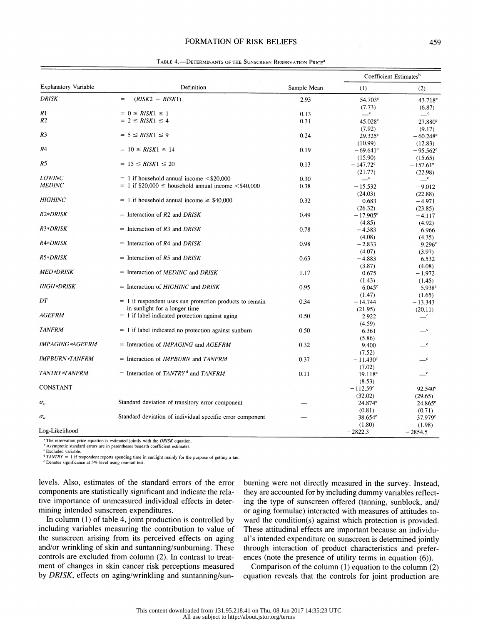#### FORMATION OF RISK BELIEFS 459

|                             |                                                                |             |                        | Coefficient Estimates <sup>b</sup> |
|-----------------------------|----------------------------------------------------------------|-------------|------------------------|------------------------------------|
| <b>Explanatory Variable</b> | Definition                                                     | Sample Mean | (1)                    | (2)                                |
| <b>DRISK</b>                | $= -(RISK2 - RISK1)$                                           | 2.93        | $54.703^e$             | $43.718^e$                         |
|                             |                                                                |             | (7.73)                 | (6.87)                             |
| R <sub>1</sub>              | $= 0 \leq RISK1 \leq 1$                                        | 0.13        | $-{\rm c}$             | $-{\rm c}$                         |
| R <sub>2</sub>              | $= 2 \leq RISK1 \leq 4$                                        | 0.31        | 45.028 <sup>e</sup>    | 27.880 <sup>e</sup>                |
|                             |                                                                |             | (7.92)                 | (9.17)                             |
| R3                          | $= 5 \leq RISK1 \leq 9$                                        | 0.24        | $-29.325^{\circ}$      | $-60.248^{\circ}$                  |
|                             |                                                                |             | (10.99)                | (12.83)                            |
| R <sub>4</sub>              | $= 10 \leq RISK1 \leq 14$                                      | 0.19        | $-69.641$ <sup>e</sup> | $-95.562$ <sup>e</sup>             |
|                             |                                                                |             | (15.90)                | (15.65)                            |
| R5                          | $= 15 \leq RISK1 \leq 20$                                      | 0.13        | $-147.72^e$            | $-157.61^{\circ}$                  |
|                             |                                                                |             | (21.77)                | (22.98)                            |
| <b>LOWINC</b>               | $= 1$ if household annual income $\leq$ \$20,000               | 0.30        | $-{\rm c}$             | $-{\rm c}$                         |
| <b>MEDINC</b>               | $= 1$ if \$20,000 $\le$ household annual income $\le$ \$40,000 | 0.38        | $-15.532$              | $-9.012$                           |
|                             |                                                                |             | (24.03)                | (22.88)                            |
| <b>HIGHINC</b>              | $= 1$ if household annual income $\geq$ \$40,000               | 0.32        | $-0.683$               | $-4.971$                           |
|                             |                                                                |             | (26.32)                | (23.85)                            |
| R <sub>2</sub> *DRISK       | = Interaction of $R2$ and $DRISK$                              | 0.49        | $-17.905^{\circ}$      |                                    |
|                             |                                                                |             | (4.85)                 | $-4.117$                           |
| R3*DRISK                    | = Interaction of $R3$ and $DRISK$                              | 0.78        | $-4.383$               | (4.92)                             |
|                             |                                                                |             | (4.08)                 | 6.966                              |
| R4*DRISK                    | = Interaction of $R4$ and $DRISK$                              | 0.98        |                        | (4.35)                             |
|                             |                                                                |             | $-2.833$               | $9.296^{\circ}$                    |
| R5*DRISK                    |                                                                |             | (4.07)                 | (3.97)                             |
|                             | $=$ Interaction of R5 and DRISK                                | 0.63        | $-4.883$               | 6.532                              |
|                             |                                                                |             | (3.87)                 | (4.08)                             |
| MED*DRISK                   | $=$ Interaction of <i>MEDINC</i> and <i>DRISK</i>              | 1.17        | 0.675                  | $-1.972$                           |
|                             |                                                                |             | (1.43)                 | (1.45)                             |
| HIGH *DRISK                 | $=$ Interaction of HIGHINC and DRISK                           | 0.95        | $6.045$ <sup>e</sup>   | $5.938^{\rm e}$                    |
|                             |                                                                |             | (1.47)                 | (1.65)                             |
| DT                          | $= 1$ if respondent uses sun protection products to remain     | 0.34        | $-14.744$              | $-13.343$                          |
|                             | in sunlight for a longer time                                  |             | (21.95)                | (20.11)                            |
| <i>AGEFRM</i>               | $= 1$ if label indicated protection against aging              | 0.50        | 2.922                  | $-{\rm c}$                         |
|                             |                                                                |             | (4.59)                 |                                    |
| <b>TANFRM</b>               | $= 1$ if label indicated no protection against sunburn         | 0.50        | 6.361                  | $-{\rm c}$                         |
|                             |                                                                |             | (5.86)                 |                                    |
| <b>IMPAGING *AGEFRM</b>     | $=$ Interaction of <i>IMPAGING</i> and <i>AGEFRM</i>           | 0.32        | 9.400                  | $\mathbf{C}$                       |
|                             |                                                                |             | (7.52)                 |                                    |
| <b>IMPBURN*TANFRM</b>       | $=$ Interaction of <i>IMPBURN</i> and <i>TANFRM</i>            | 0.37        | $-11.430^{\circ}$      | $\mathbf{C}$                       |
|                             |                                                                |             | (7.02)                 |                                    |
| TANTRY *TANFRM              | = Interaction of $TANTRY^d$ and $TANFRM$                       | 0.11        | $19.118^e$             | $-{\rm c}$                         |
|                             |                                                                |             | (8.53)                 |                                    |
| <b>CONSTANT</b>             |                                                                |             | $-112.59^e$            | $-92.540^{\circ}$                  |
|                             |                                                                |             |                        |                                    |
|                             | Standard deviation of transitory error component               |             | (32.02)                | (29.65)                            |
| $\sigma_v$                  |                                                                |             | 24.874 <sup>e</sup>    | $24.865^e$                         |
|                             |                                                                |             | (0.81)                 | (0.71)                             |
| $\sigma_u$                  | Standard deviation of individual specific error component      |             | $38.654^e$             | $37.979$ <sup>e</sup>              |
|                             |                                                                |             | (1.80)                 | (1.98)                             |
| Log-Likelihood              |                                                                |             | $-2822.3$              | $-2854.5$                          |

TABLE 4.- DETERMINANTS OF THE SUNSCREEN RESERVATION PRICE<sup>a</sup>

c Excluded variable.

 $d$  TANTRY = 1 if respondent reports spending time in sunlight mainly for the purpose of getting a tan.

e Denotes significance at 5% level using one-tail test.

 levels. Also, estimates of the standard errors of the error components are statistically significant and indicate the rela tive importance of unmeasured individual effects in deter mining intended sunscreen expenditures.

 In column (1) of table 4, joint production is controlled by including variables measuring the contribution to value of the sunscreen arising from its perceived effects on aging and/or wrinkling of skin and suntanning/sunburning. These controls are excluded from column (2). In contrast to treat ment of changes in skin cancer risk perceptions measured by DRISK, effects on aging/wrinkling and suntanning/sun-

 burning were not directly measured in the survey. Instead, they are accounted for by including dummy variables reflect ing the type of sunscreen offered (tanning, sunblock, and/ or aging formulae) interacted with measures of attitudes to ward the condition(s) against which protection is provided. These attitudinal effects are important because an individu al's intended expenditure on sunscreen is determined jointly through interaction of product characteristics and prefer ences (note the presence of utility terms in equation (6)).

 Comparison of the column (1) equation to the column (2) equation reveals that the controls for joint production are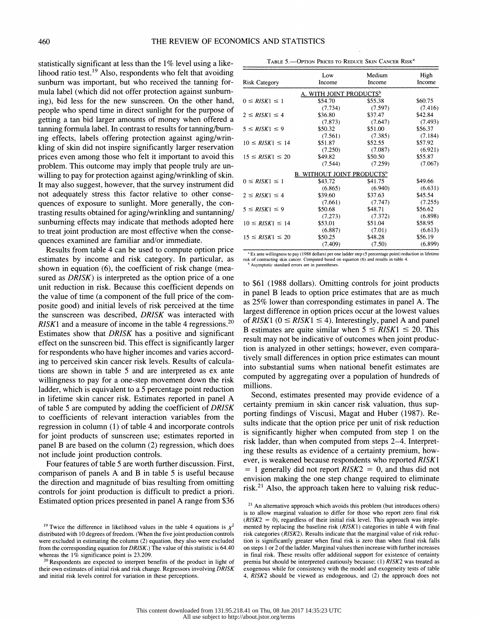statistically significant at less than the 1% level using a like lihood ratio test.<sup>19</sup> Also, respondents who felt that avoiding sunburn was important, but who received the tanning for mula label (which did not offer protection against sunburn ing), bid less for the new sunscreen. On the other hand, people who spend time in direct sunlight for the purpose of getting a tan bid larger amounts of money when offered a tanning formula label. In contrast to results for tanning/burn ing effects, labels offering protection against aging/wrin kling of skin did not inspire significantly larger reservation prices even among those who felt it important to avoid this problem. This outcome may imply that people truly are un willing to pay for protection against aging/wrinkling of skin. It may also suggest, however, that the survey instrument did not adequately stress this factor relative to other conse quences of exposure to sunlight. More generally, the con trasting results obtained for aging/wrinkling and suntanning/ sunburning effects may indicate that methods adopted here to treat joint production are most effective when the conse quences examined are familiar and/or immediate.

 Results from table 4 can be used to compute option price estimates by income and risk category. In particular, as shown in equation (6), the coefficient of risk change (mea sured as  $DRISK$ ) is interpreted as the option price of a one unit reduction in risk. Because this coefficient depends on the value of time (a component of the full price of the com posite good) and initial levels of risk perceived at the time the sunscreen was described, DRISK was interacted with RISK1 and a measure of income in the table 4 regressions.<sup>20</sup> Estimates show that DRISK has a positive and significant effect on the sunscreen bid. This effect is significantly larger for respondents who have higher incomes and varies accord ing to perceived skin cancer risk levels. Results of calcula tions are shown in table 5 and are interpreted as ex ante willingness to pay for a one-step movement down the risk ladder, which is equivalent to a 5 percentage point reduction in lifetime skin cancer risk. Estimates reported in panel A of table 5 are computed by adding the coefficient of DRISK to coefficients of relevant interaction variables from the regression in column (1) of table 4 and incorporate controls for joint products of sunscreen use; estimates reported in panel B are based on the column (2) regression, which does not include joint production controls.

 Four features of table 5 are worth further discussion. First, comparison of panels A and B in table 5 is useful because the direction and magnitude of bias resulting from omitting controls for joint production is difficult to predict a priori. Estimated option prices presented in panel A range from \$36

| TABLE 5. - OPTION PRICES TO REDUCE SKIN CANCER RISK <sup>a</sup> |  |  |  |  |  |  |  |
|------------------------------------------------------------------|--|--|--|--|--|--|--|
|------------------------------------------------------------------|--|--|--|--|--|--|--|

| A. WITH JOINT PRODUCTS <sup>b</sup><br>\$55.38<br>$0 \leq RISK1 \leq 1$<br>\$54.70<br>(7.597)<br>(7.734)<br>\$36.80<br>\$37.47<br>$2 \leq RISK1 \leq 4$<br>(7.873)<br>(7.647)<br>\$51.00<br>$5 \leq RISK1 \leq 9$<br>\$50.32<br>(7.561)<br>(7.385)<br>$10 \leq RISK1 \leq 14$<br>\$51.87<br>\$52.55<br>(7.250)<br>(7.087)<br>\$49.82<br>$15 \leq RISK1 \leq 20$<br>\$50.50<br>(7.259)<br>(7.544)<br><b>B. WITHOUT JOINT PRODUCTS</b> <sup>b</sup><br>$0 \leq RISK1 \leq 1$<br>\$41.75<br>\$43.72<br>(6.940)<br>(6.865)<br>\$37.63<br>$2 \leq RISK1 \leq 4$<br>\$39.60<br>(7.747)<br>(7.661)<br>\$50.68<br>$5 \leq RISK1 \leq 9$<br>\$48.71<br>(7.372)<br>(7.273)<br>\$53.01<br>\$51.04<br>$10 \leq RISK1 \leq 14$<br>(7.01)<br>(6.887)<br>\$50.25<br>$15 \leq RISK1 \leq 20$<br>\$48.28 | Risk Category | Low<br>Income | Medium<br>Income | High<br>Income |
|-----------------------------------------------------------------------------------------------------------------------------------------------------------------------------------------------------------------------------------------------------------------------------------------------------------------------------------------------------------------------------------------------------------------------------------------------------------------------------------------------------------------------------------------------------------------------------------------------------------------------------------------------------------------------------------------------------------------------------------------------------------------------------------------|---------------|---------------|------------------|----------------|
|                                                                                                                                                                                                                                                                                                                                                                                                                                                                                                                                                                                                                                                                                                                                                                                         |               |               |                  |                |
|                                                                                                                                                                                                                                                                                                                                                                                                                                                                                                                                                                                                                                                                                                                                                                                         |               |               |                  | \$60.75        |
|                                                                                                                                                                                                                                                                                                                                                                                                                                                                                                                                                                                                                                                                                                                                                                                         |               |               |                  | (7.416)        |
|                                                                                                                                                                                                                                                                                                                                                                                                                                                                                                                                                                                                                                                                                                                                                                                         |               |               |                  | \$42.84        |
|                                                                                                                                                                                                                                                                                                                                                                                                                                                                                                                                                                                                                                                                                                                                                                                         |               |               |                  | (7.493)        |
|                                                                                                                                                                                                                                                                                                                                                                                                                                                                                                                                                                                                                                                                                                                                                                                         |               |               |                  | \$56.37        |
|                                                                                                                                                                                                                                                                                                                                                                                                                                                                                                                                                                                                                                                                                                                                                                                         |               |               |                  | (7.184)        |
|                                                                                                                                                                                                                                                                                                                                                                                                                                                                                                                                                                                                                                                                                                                                                                                         |               |               |                  | \$57.92        |
|                                                                                                                                                                                                                                                                                                                                                                                                                                                                                                                                                                                                                                                                                                                                                                                         |               |               |                  | (6.921)        |
|                                                                                                                                                                                                                                                                                                                                                                                                                                                                                                                                                                                                                                                                                                                                                                                         |               |               |                  | \$55.87        |
|                                                                                                                                                                                                                                                                                                                                                                                                                                                                                                                                                                                                                                                                                                                                                                                         |               |               |                  | (7.067)        |
|                                                                                                                                                                                                                                                                                                                                                                                                                                                                                                                                                                                                                                                                                                                                                                                         |               |               |                  |                |
|                                                                                                                                                                                                                                                                                                                                                                                                                                                                                                                                                                                                                                                                                                                                                                                         |               |               |                  | \$49.66        |
|                                                                                                                                                                                                                                                                                                                                                                                                                                                                                                                                                                                                                                                                                                                                                                                         |               |               |                  | (6.631)        |
|                                                                                                                                                                                                                                                                                                                                                                                                                                                                                                                                                                                                                                                                                                                                                                                         |               |               |                  | \$45.54        |
|                                                                                                                                                                                                                                                                                                                                                                                                                                                                                                                                                                                                                                                                                                                                                                                         |               |               |                  | (7.255)        |
|                                                                                                                                                                                                                                                                                                                                                                                                                                                                                                                                                                                                                                                                                                                                                                                         |               |               |                  | \$56.62        |
|                                                                                                                                                                                                                                                                                                                                                                                                                                                                                                                                                                                                                                                                                                                                                                                         |               |               |                  | (6.898)        |
|                                                                                                                                                                                                                                                                                                                                                                                                                                                                                                                                                                                                                                                                                                                                                                                         |               |               |                  | \$58.95        |
|                                                                                                                                                                                                                                                                                                                                                                                                                                                                                                                                                                                                                                                                                                                                                                                         |               |               |                  | (6.613)        |
|                                                                                                                                                                                                                                                                                                                                                                                                                                                                                                                                                                                                                                                                                                                                                                                         |               |               |                  | \$56.19        |
| (7.50)<br>(7.409)                                                                                                                                                                                                                                                                                                                                                                                                                                                                                                                                                                                                                                                                                                                                                                       |               |               |                  | (6.899)        |

<sup>a</sup> Ex ante willingness to pay (1988 dollars) per one ladder step (5 percentage point) reduction in lifetime risk of contracting skin cancer. Computed based on equation (6) and results in table 4.<br><sup>b</sup> Asymptotic standard errors are in parentheses.

 to \$61 (1988 dollars). Omitting controls for joint products in panel B leads to option price estimates that are as much as 25% lower than corresponding estimates in panel A. The largest difference in option prices occur at the lowest values of RISK1 ( $0 \leq RISK1 \leq 4$ ). Interestingly, panel A and panel B estimates are quite similar when  $5 \leq RISK1 \leq 20$ . This result may not be indicative of outcomes when joint produc tion is analyzed in other settings; however, even compara tively small differences in option price estimates can mount into substantial sums when national benefit estimates are computed by aggregating over a population of hundreds of millions.

 Second, estimates presented may provide evidence of a certainty premium in skin cancer risk valuation, thus sup porting findings of Viscusi, Magat and Huber (1987). Re sults indicate that the option price per unit of risk reduction is significantly higher when computed from step 1 on the risk ladder, than when computed from steps 2-4. Interpret ing these results as evidence of a certainty premium, how ever, is weakened because respondents who reported RISK1  $= 1$  generally did not report  $RISK2 = 0$ , and thus did not envision making the one step change required to eliminate risk.<sup>21</sup> Also, the approach taken here to valuing risk reduc-

<sup>&</sup>lt;sup>19</sup> Twice the difference in likelihood values in the table 4 equations is  $\chi^2$  distributed with 10 degrees of freedom. (When the five joint production controls were excluded in estimating the column (2) equation, they also were excluded from the corresponding equation for DRISK.) The value of this statistic is 64.40 whereas the 1% significance point is 23.209.

<sup>&</sup>lt;sup>20</sup> Respondents are expected to interpret benefits of the product in light of their own estimates of initial risk and risk change. Regressors involving DRISK and initial risk levels control for variation in these perceptions.

 $21$  An alternative approach which avoids this problem (but introduces others) is to allow marginal valuation to differ for those who report zero final risk  $(RISK2 = 0)$ , regardless of their initial risk level. This approach was imple mented by replacing the baseline risk (RISK1) categories in table 4 with final risk categories (RISK2). Results indicate that the marginal value of risk reduc tion is significantly greater when final risk is zero than when final risk falls on steps 1 or 2 of the ladder. Marginal values then increase with further increases in final risk. These results offer additional support for existence of certainty premia but should be interpreted cautiously because: (1) RISK2 was treated as exogenous while for consistency with the model and exogeneity tests of table 4, RISK2 should be viewed as endogenous, and (2) the approach does not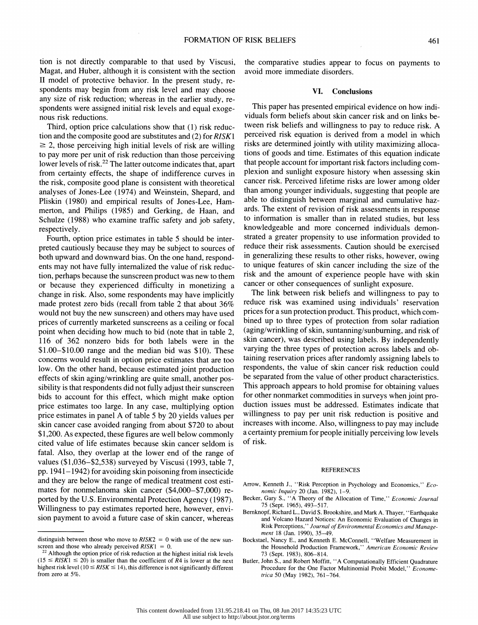tion is not directly comparable to that used by Viscusi, Magat, and Huber, although it is consistent with the section II model of protective behavior. In the present study, re spondents may begin from any risk level and may choose any size of risk reduction; whereas in the earlier study, re spondents were assigned initial risk levels and equal exoge nous risk reductions.

 Third, option price calculations show that (1) risk reduc tion and the composite good are substitutes and (2) for RISKl  $\geq$  2, those perceiving high initial levels of risk are willing to pay more per unit of risk reduction than those perceiving lower levels of risk.<sup>22</sup> The latter outcome indicates that, apart from certainty effects, the shape of indifference curves in the risk, composite good plane is consistent with theoretical analyses of Jones-Lee (1974) and Weinstein, Shepard, and Pliskin (1980) and empirical results of Jones-Lee, Ham merton, and Philips (1985) and Gerking, de Haan, and Schulze (1988) who examine traffic safety and job safety, respectively.

 Fourth, option price estimates in table 5 should be inter preted cautiously because they may be subject to sources of both upward and downward bias. On the one hand, respond ents may not have fully internalized the value of risk reduc tion, perhaps because the sunscreen product was new to them or because they experienced difficulty in monetizing a change in risk. Also, some respondents may have implicitly made protest zero bids (recall from table 2 that about 36% would not buy the new sunscreen) and others may have used prices of currently marketed sunscreens as a ceiling or focal point when deciding how much to bid (note that in table 2, 116 of 362 nonzero bids for both labels were in the \$1.00-\$10.00 range and the median bid was \$10). These concerns would result in option price estimates that are too low. On the other hand, because estimated joint production effects of skin aging/wrinkling are quite small, another pos sibility is that respondents did not fully adjust their sunscreen bids to account for this effect, which might make option price estimates too large. In any case, multiplying option price estimates in panel A of table 5 by 20 yields values per skin cancer case avoided ranging from about \$720 to about \$1,200. As expected, these figures are well below commonly cited value of life estimates because skin cancer seldom is fatal. Also, they overlap at the lower end of the range of values (\$1,036-\$2,538) surveyed by Viscusi (1993, table 7, pp. 1941-1942) for avoiding skin poisoning from insecticide and they are below the range of medical treatment cost esti mates for nonmelanoma skin cancer (\$4,000-\$7,000) re ported by the U.S. Environmental Protection Agency (1987). Willingness to pay estimates reported here, however, envi sion payment to avoid a future case of skin cancer, whereas

 the comparative studies appear to focus on payments to avoid more immediate disorders.

#### VI. Conclusions

 This paper has presented empirical evidence on how indi viduals form beliefs about skin cancer risk and on links be tween risk beliefs and willingness to pay to reduce risk. A perceived risk equation is derived from a model in which risks are determined jointly with utility maximizing alloca tions of goods and time. Estimates of this equation indicate that people account for important risk factors including com plexion and sunlight exposure history when assessing skin cancer risk. Perceived lifetime risks are lower among older than among younger individuals, suggesting that people are able to distinguish between marginal and cumulative haz ards. The extent of revision of risk assessments in response to information is smaller than in related studies, but less knowledgeable and more concerned individuals demon strated a greater propensity to use information provided to reduce their risk assessments. Caution should be exercised in generalizing these results to other risks, however, owing to unique features of skin cancer including the size of the risk and the amount of experience people have with skin cancer or other consequences of sunlight exposure.

 The link between risk beliefs and willingness to pay to reduce risk was examined using individuals' reservation prices for a sun protection product. This product, which com bined up to three types of protection from solar radiation (aging/wrinkling of skin, suntanning/sunburning, and risk of skin cancer), was described using labels. By independently varying the three types of protection across labels and ob taining reservation prices after randomly assigning labels to respondents, the value of skin cancer risk reduction could be separated from the value of other product characteristics. This approach appears to hold promise for obtaining values for other nonmarket commodities in surveys when joint pro duction issues must be addressed. Estimates indicate that willingness to pay per unit risk reduction is positive and increases with income. Also, willingness to pay may include a certainty premium for people initially perceiving low levels of risk.

#### REFERENCES

- Arrow, Kenneth J., "Risk Perception in Psychology and Economics," Economic Inquiry 20 (Jan. 1982), 1-9.
- Becker, Gary S., "A Theory of the Allocation of Time," Economic Journal 75 (Sept. 1965), 493-517.
- Bemknopf, Richard L., David S. Brookshire, and Mark A. Thayer, "Earthquake and Volcano Hazard Notices: An Economic Evaluation of Changes in Risk Perceptions," Journal of Environmental Economics and Manage ment 18 (Jan. 1990), 35-49.
- Bockstael, Nancy E., and Kenneth E. McConnell, "Welfare Measurement in the Household Production Framework," American Economic Review 73 (Sept. 1983), 806-814.
- Butler, John S., and Robert Moffitt, "A Computationally Efficient Quadrature Procedure for the One Factor Multinomial Probit Model," Econometrica 50 (May 1982), 761-764.

distinguish between those who move to  $RISK2 = 0$  with use of the new sunscreen and those who already perceived  $RISK1 = 0$ .

<sup>&</sup>lt;sup>22</sup> Although the option price of risk reduction at the highest initial risk levels  $(15 \leq RISK1 \leq 20)$  is smaller than the coefficient of  $R4$  is lower at the next highest risk level (10  $\leq$  RISK  $\leq$  14), this difference is not significantly different from zero at 5%.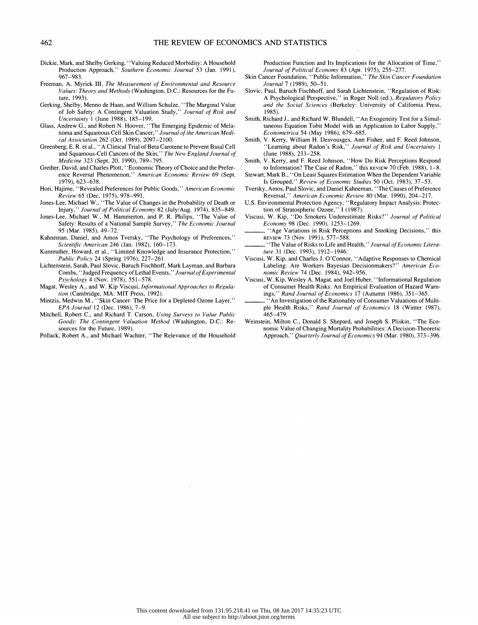- Dickie, Mark, and Shelby Gerking, "Valuing Reduced Morbidity: A Household Production Approach," Southern Economic Journal 53 (Jan. 1991), 967-983.
- Freeman, A. Myrick III, The Measurement of Environmental and Resource Values: Theory and Methods (Washington, D.C.: Resources for the Fu ture, 1993).
- Gerking, Shelby, Menno de Haan, and William Schulze, "The Marginal Value of Job Safety: A Contingent Valuation Study," Journal of Risk and Uncertainty 1 (June 1988), 185-199.
- Glass, Andrew G., and Robert N. Hoover, "The Emerging Epidemic of Mela noma and Squamous Cell Skin Cancer," Journal of the American Medi cal Association 262 (Oct. 1989), 2097-2100.
- Greenberg, E. R. et al., "A Clinical Trial of Beta Carotene to Prevent Basal Cell and Squamous-Cell Cancers of the Skin,'' The New England Journal of Medicine 323 (Sept. 20, 1990), 789-795.
- Grether, David, and Charles Plott, "Economic Theory of Choice and the Prefer ence Reversal Phenomenon," American Economic Review 69 (Sept. 1979), 623-638.
- Hori, Hajime, "Revealed Preferences for Public Goods," American Economic Review 65 (Dec. 1975), 978-991.
- Jones-Lee, Michael W., "The Value of Changes in the Probability of Death or Injury," Journal of Political Economy 82 (July/Aug. 1974), 835-849.
- Jones-Lee, Michael W., M. Hammerton, and P. R. Philips, "The Value of Safety: Results of a National Sample Survey," The Economic Journal 95 (Mar. 1985), 49-72.
- Kahneman, Daniel, and Amos Tversky, "The Psychology of Preferences," Scientific American 246 (Jan. 1982), 160-173.
- Kunreuther, Howard, et al., "Limited Knowledge and Insurance Protection," Public Policy 24 (Spring 1976), 227-261.
- Lichtenstein, Sarah, Paul Slovic, Baruch Fischhoff, Mark Layman, and Barbara Combs, "Judged Frequency of Lethal Events, " Journal of Experimental Psychology 4 (Nov. 1978), 551-578.
- Magat, Wesley A., and W. Kip Viscusi, Informational Approaches to Regulation (Cambridge, MA: MIT Press, 1992).
- Mintzis, Medwin M., "Skin Cancer: The Price for a Depleted Ozone Layer," EPA Journal 12 (Dec. 1986), 7-9.
- Mitchell, Robert C., and Richard T. Carson, Using Surveys to Value Public Goods: The Contingent Valuation Method (Washington, D.C.: Re sources for the Future, 1989).
- Pollack, Robert A., and Michael Wachter, "The Relevance of the Household

Production Function and Its Implications for the Allocation of Time," Journal of Political Economy 83 (Apr. 1975), 255-277.

- Skin Cancer Foundation, "Public Information," The Skin Cancer Foundation Journal 7 (1989), 50-51.
- Slovic, Paul, Baruch Fischhoff, and Sarah Lichtenstein, "Regulation of Risk: A Psychological Perspective," in Roger Noll (ed.), Regulatory Policy and the Social Sciences (Berkeley: University of California Press, 1985).
- Smith, Richard J., and Richard W. Blundell, "An Exogeneity Test for a Simul taneous Equation Tobit Model with an Application to Labor Supply," Econometrica 54 (May 1986), 679-685.
- Smith, V. Kerry, William H. Desvousges, Ann Fisher, and F. Reed Johnson, 'Learning about Radon's Risk," Journal of Risk and Uncertainty 1 (June 1988), 233-258.
- Smith, V. Kerry, and F. Reed Johnson, "How Do Risk Perceptions Respond to Information? The Case of Radon," this REVIEW 70 (Feb. 1988), 1-8.
- Stewart, Mark B., "On Least Squares Estimation When the Dependent Variable Is Grouped," Review of Economic Studies 50 (Oct. 1983), 37-53.
- Tversky, Amos, Paul Slovic, and Daniel Kahneman, "The Causes of Preference Reversal," American Economic Review 80 (Mar. 1990), 204-217.
- U.S. Environmental Protection Agency, "Regulatory Impact Analysis: Protec tion of Stratospheric Ozone," 1 (1987).
- Viscusi, W. Kip, "Do Smokers Underestimate Risks?" Journal of Political Economy 98 (Dec. 1990), 1253-1269.
- "Age Variations in Risk Perceptions and Smoking Decisions," this REVIEW 73 (Nov. 1991), 577-588.
- "The Value of Risks to Life and Health," Journal of Economic Literature 31 (Dec. 1993), 1912-1946.
- Viscusi, W. Kip, and Charles J. O'Connor, "Adaptive Responses to Chemical Labeling: Are Workers Bayesian Decisionmakers?" American Economic Review 74 (Dec. 1984), 942-956.
- Viscusi, W. Kip, Wesley A. Magat, and Joel Huber, "Informational Regulation of Consumer Health Risks: An Empirical Evaluation of Hazard Warn ings," Rand Journal of Economics 17 (Autumn 1986), 351-365.
- An Investigation of the Rationality of Consumer Valuations of Multiple Health Risks," Rand Journal of Economics 18 (Winter 1987), 465-479.
- Weinstein, Milton C., Donald S. Shepard, and Joseph S. Pliskin, "The Eco nomic Value of Changing Mortality Probabilities: A Decision-Theoretic Approach," Quarterly Journal of Economics 94 (Mar. 1980), 373-396.